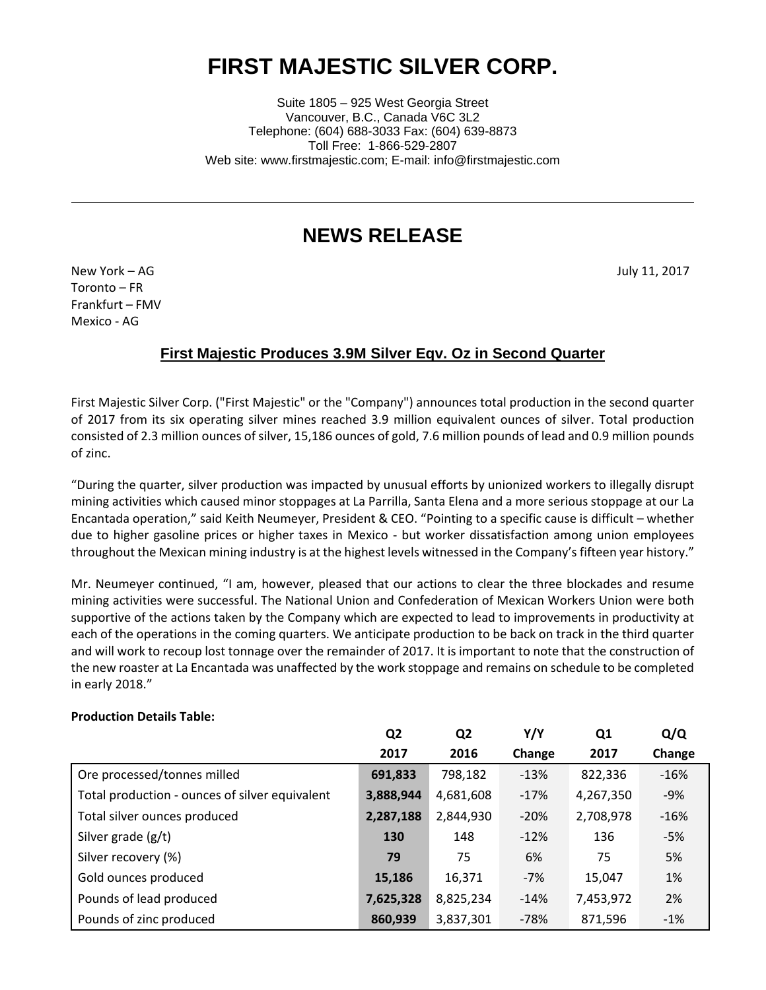# **FIRST MAJESTIC SILVER CORP.**

Suite 1805 – 925 West Georgia Street Vancouver, B.C., Canada V6C 3L2 Telephone: (604) 688-3033 Fax: (604) 639-8873 Toll Free: 1-866-529-2807 Web site: www.firstmajestic.com; E-mail: info@firstmajestic.com

# **NEWS RELEASE**

New York – AG 3017 Toronto – FR Frankfurt – FMV Mexico - AG

## **First Majestic Produces 3.9M Silver Eqv. Oz in Second Quarter**

First Majestic Silver Corp. ("First Majestic" or the "Company") announces total production in the second quarter of 2017 from its six operating silver mines reached 3.9 million equivalent ounces of silver. Total production consisted of 2.3 million ounces of silver, 15,186 ounces of gold, 7.6 million pounds of lead and 0.9 million pounds of zinc.

"During the quarter, silver production was impacted by unusual efforts by unionized workers to illegally disrupt mining activities which caused minor stoppages at La Parrilla, Santa Elena and a more serious stoppage at our La Encantada operation," said Keith Neumeyer, President & CEO. "Pointing to a specific cause is difficult – whether due to higher gasoline prices or higher taxes in Mexico - but worker dissatisfaction among union employees throughout the Mexican mining industry is at the highest levels witnessed in the Company's fifteen year history."

Mr. Neumeyer continued, "I am, however, pleased that our actions to clear the three blockades and resume mining activities were successful. The National Union and Confederation of Mexican Workers Union were both supportive of the actions taken by the Company which are expected to lead to improvements in productivity at each of the operations in the coming quarters. We anticipate production to be back on track in the third quarter and will work to recoup lost tonnage over the remainder of 2017. It is important to note that the construction of the new roaster at La Encantada was unaffected by the work stoppage and remains on schedule to be completed in early 2018."

|                                                | Q <sub>2</sub> | Q <sub>2</sub> | Y/Y    | Q <sub>1</sub> | Q/Q    |
|------------------------------------------------|----------------|----------------|--------|----------------|--------|
|                                                | 2017           | 2016           | Change | 2017           | Change |
| Ore processed/tonnes milled                    | 691,833        | 798,182        | $-13%$ | 822,336        | $-16%$ |
| Total production - ounces of silver equivalent | 3,888,944      | 4,681,608      | $-17%$ | 4,267,350      | $-9%$  |
| Total silver ounces produced                   | 2,287,188      | 2,844,930      | $-20%$ | 2,708,978      | $-16%$ |
| Silver grade (g/t)                             | 130            | 148            | $-12%$ | 136            | $-5%$  |
| Silver recovery (%)                            | 79             | 75             | 6%     | 75             | 5%     |
| Gold ounces produced                           | 15,186         | 16,371         | $-7%$  | 15,047         | 1%     |
| Pounds of lead produced                        | 7,625,328      | 8,825,234      | $-14%$ | 7,453,972      | 2%     |
| Pounds of zinc produced                        | 860,939        | 3,837,301      | $-78%$ | 871,596        | $-1%$  |

#### **Production Details Table:**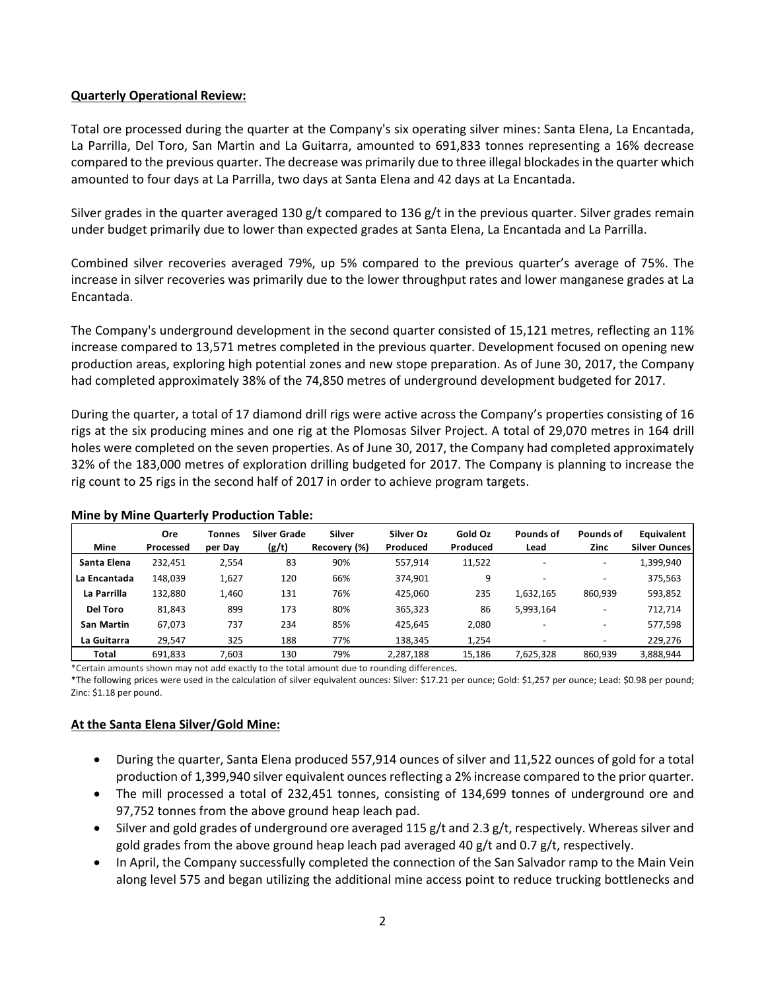#### **Quarterly Operational Review:**

Total ore processed during the quarter at the Company's six operating silver mines: Santa Elena, La Encantada, La Parrilla, Del Toro, San Martin and La Guitarra, amounted to 691,833 tonnes representing a 16% decrease compared to the previous quarter. The decrease was primarily due to three illegal blockades in the quarter which amounted to four days at La Parrilla, two days at Santa Elena and 42 days at La Encantada.

Silver grades in the quarter averaged 130 g/t compared to 136 g/t in the previous quarter. Silver grades remain under budget primarily due to lower than expected grades at Santa Elena, La Encantada and La Parrilla.

Combined silver recoveries averaged 79%, up 5% compared to the previous quarter's average of 75%. The increase in silver recoveries was primarily due to the lower throughput rates and lower manganese grades at La Encantada.

The Company's underground development in the second quarter consisted of 15,121 metres, reflecting an 11% increase compared to 13,571 metres completed in the previous quarter. Development focused on opening new production areas, exploring high potential zones and new stope preparation. As of June 30, 2017, the Company had completed approximately 38% of the 74,850 metres of underground development budgeted for 2017.

During the quarter, a total of 17 diamond drill rigs were active across the Company's properties consisting of 16 rigs at the six producing mines and one rig at the Plomosas Silver Project. A total of 29,070 metres in 164 drill holes were completed on the seven properties. As of June 30, 2017, the Company had completed approximately 32% of the 183,000 metres of exploration drilling budgeted for 2017. The Company is planning to increase the rig count to 25 rigs in the second half of 2017 in order to achieve program targets.

| Mine              | <b>Ore</b><br>Processed | Tonnes<br>per Day | Silver Grade<br>(g/t) | Silver<br>Recovery (%) | Silver Oz<br>Produced | Gold Oz<br>Produced | Pounds of<br>Lead | Pounds of<br>Zinc        | Equivalent<br><b>Silver Ounces</b> |
|-------------------|-------------------------|-------------------|-----------------------|------------------------|-----------------------|---------------------|-------------------|--------------------------|------------------------------------|
| Santa Elena       | 232,451                 | 2,554             | 83                    | 90%                    | 557.914               | 11,522              |                   |                          | 1,399,940                          |
| La Encantada      | 148,039                 | 1,627             | 120                   | 66%                    | 374.901               | 9                   |                   | $\overline{\phantom{a}}$ | 375,563                            |
| La Parrilla       | 132,880                 | 1,460             | 131                   | 76%                    | 425.060               | 235                 | 1,632,165         | 860,939                  | 593,852                            |
| <b>Del Toro</b>   | 81,843                  | 899               | 173                   | 80%                    | 365.323               | 86                  | 5,993,164         |                          | 712,714                            |
| <b>San Martin</b> | 67,073                  | 737               | 234                   | 85%                    | 425.645               | 2,080               |                   |                          | 577,598                            |
| La Guitarra       | 29,547                  | 325               | 188                   | 77%                    | 138,345               | 1,254               |                   | $\overline{\phantom{a}}$ | 229,276                            |
| <b>Total</b>      | 691,833                 | 7.603             | 130                   | 79%                    | 2,287,188             | 15.186              | 7,625,328         | 860,939                  | 3,888,944                          |

#### **Mine by Mine Quarterly Production Table:**

\*Certain amounts shown may not add exactly to the total amount due to rounding differences**.**

\*The following prices were used in the calculation of silver equivalent ounces: Silver: \$17.21 per ounce; Gold: \$1,257 per ounce; Lead: \$0.98 per pound; Zinc: \$1.18 per pound.

#### **At the Santa Elena Silver/Gold Mine:**

- During the quarter, Santa Elena produced 557,914 ounces of silver and 11,522 ounces of gold for a total production of 1,399,940 silver equivalent ouncesreflecting a 2% increase compared to the prior quarter.
- The mill processed a total of 232,451 tonnes, consisting of 134,699 tonnes of underground ore and 97,752 tonnes from the above ground heap leach pad.
- Silver and gold grades of underground ore averaged 115 g/t and 2.3 g/t, respectively. Whereas silver and gold grades from the above ground heap leach pad averaged 40 g/t and 0.7 g/t, respectively.
- In April, the Company successfully completed the connection of the San Salvador ramp to the Main Vein along level 575 and began utilizing the additional mine access point to reduce trucking bottlenecks and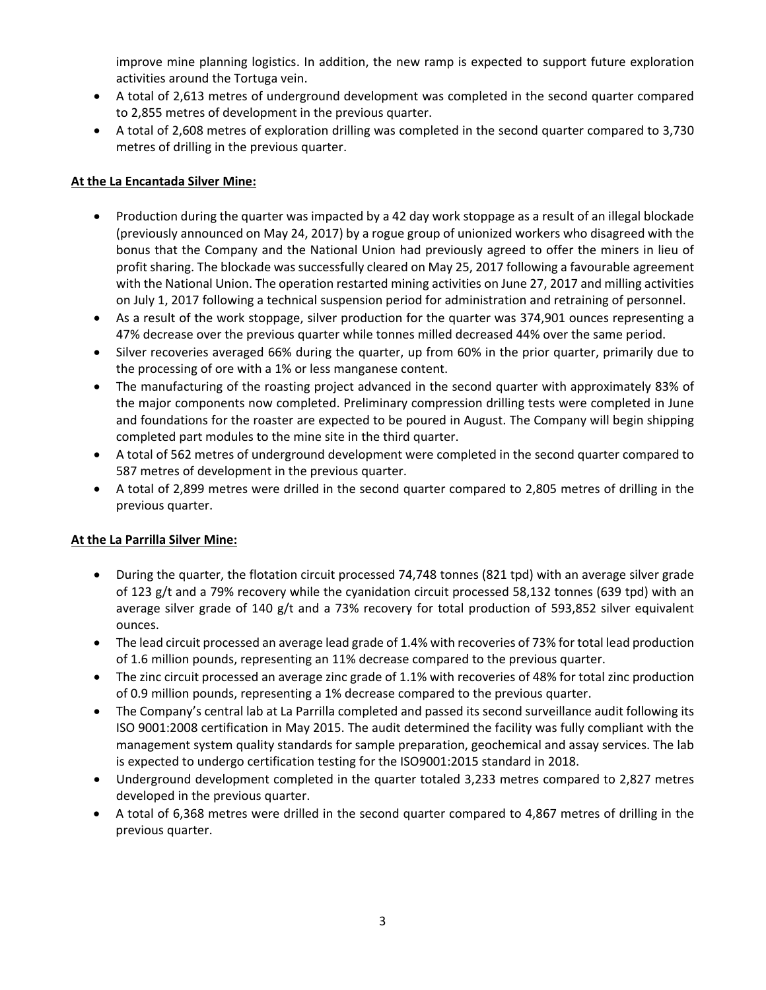improve mine planning logistics. In addition, the new ramp is expected to support future exploration activities around the Tortuga vein.

- A total of 2,613 metres of underground development was completed in the second quarter compared to 2,855 metres of development in the previous quarter.
- A total of 2,608 metres of exploration drilling was completed in the second quarter compared to 3,730 metres of drilling in the previous quarter.

#### **At the La Encantada Silver Mine:**

- Production during the quarter was impacted by a 42 day work stoppage as a result of an illegal blockade (previously announced on May 24, 2017) by a rogue group of unionized workers who disagreed with the bonus that the Company and the National Union had previously agreed to offer the miners in lieu of profit sharing. The blockade was successfully cleared on May 25, 2017 following a favourable agreement with the National Union. The operation restarted mining activities on June 27, 2017 and milling activities on July 1, 2017 following a technical suspension period for administration and retraining of personnel.
- As a result of the work stoppage, silver production for the quarter was 374,901 ounces representing a 47% decrease over the previous quarter while tonnes milled decreased 44% over the same period.
- Silver recoveries averaged 66% during the quarter, up from 60% in the prior quarter, primarily due to the processing of ore with a 1% or less manganese content.
- The manufacturing of the roasting project advanced in the second quarter with approximately 83% of the major components now completed. Preliminary compression drilling tests were completed in June and foundations for the roaster are expected to be poured in August. The Company will begin shipping completed part modules to the mine site in the third quarter.
- A total of 562 metres of underground development were completed in the second quarter compared to 587 metres of development in the previous quarter.
- A total of 2,899 metres were drilled in the second quarter compared to 2,805 metres of drilling in the previous quarter.

#### **At the La Parrilla Silver Mine:**

- During the quarter, the flotation circuit processed 74,748 tonnes (821 tpd) with an average silver grade of 123 g/t and a 79% recovery while the cyanidation circuit processed 58,132 tonnes (639 tpd) with an average silver grade of 140 g/t and a 73% recovery for total production of 593,852 silver equivalent ounces.
- The lead circuit processed an average lead grade of 1.4% with recoveries of 73% for total lead production of 1.6 million pounds, representing an 11% decrease compared to the previous quarter.
- The zinc circuit processed an average zinc grade of 1.1% with recoveries of 48% for total zinc production of 0.9 million pounds, representing a 1% decrease compared to the previous quarter.
- The Company's central lab at La Parrilla completed and passed its second surveillance audit following its ISO 9001:2008 certification in May 2015. The audit determined the facility was fully compliant with the management system quality standards for sample preparation, geochemical and assay services. The lab is expected to undergo certification testing for the ISO9001:2015 standard in 2018.
- Underground development completed in the quarter totaled 3,233 metres compared to 2,827 metres developed in the previous quarter.
- A total of 6,368 metres were drilled in the second quarter compared to 4,867 metres of drilling in the previous quarter.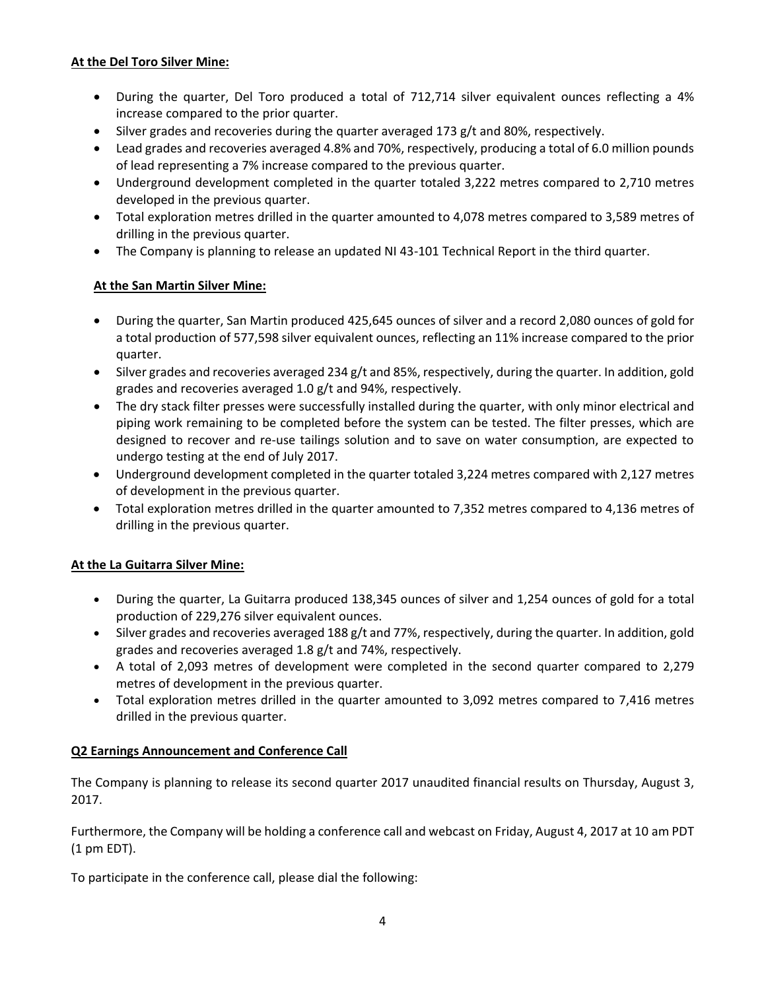#### **At the Del Toro Silver Mine:**

- During the quarter, Del Toro produced a total of 712,714 silver equivalent ounces reflecting a 4% increase compared to the prior quarter.
- Silver grades and recoveries during the quarter averaged 173 g/t and 80%, respectively.
- Lead grades and recoveries averaged 4.8% and 70%, respectively, producing a total of 6.0 million pounds of lead representing a 7% increase compared to the previous quarter.
- Underground development completed in the quarter totaled 3,222 metres compared to 2,710 metres developed in the previous quarter.
- Total exploration metres drilled in the quarter amounted to 4,078 metres compared to 3,589 metres of drilling in the previous quarter.
- The Company is planning to release an updated NI 43-101 Technical Report in the third quarter.

### **At the San Martin Silver Mine:**

- During the quarter, San Martin produced 425,645 ounces of silver and a record 2,080 ounces of gold for a total production of 577,598 silver equivalent ounces, reflecting an 11% increase compared to the prior quarter.
- Silver grades and recoveries averaged 234 g/t and 85%, respectively, during the quarter. In addition, gold grades and recoveries averaged 1.0 g/t and 94%, respectively.
- The dry stack filter presses were successfully installed during the quarter, with only minor electrical and piping work remaining to be completed before the system can be tested. The filter presses, which are designed to recover and re-use tailings solution and to save on water consumption, are expected to undergo testing at the end of July 2017.
- Underground development completed in the quarter totaled 3,224 metres compared with 2,127 metres of development in the previous quarter.
- Total exploration metres drilled in the quarter amounted to 7,352 metres compared to 4,136 metres of drilling in the previous quarter.

#### **At the La Guitarra Silver Mine:**

- During the quarter, La Guitarra produced 138,345 ounces of silver and 1,254 ounces of gold for a total production of 229,276 silver equivalent ounces.
- Silver grades and recoveries averaged 188 g/t and 77%, respectively, during the quarter. In addition, gold grades and recoveries averaged 1.8 g/t and 74%, respectively.
- A total of 2,093 metres of development were completed in the second quarter compared to 2,279 metres of development in the previous quarter.
- Total exploration metres drilled in the quarter amounted to 3,092 metres compared to 7,416 metres drilled in the previous quarter.

#### **Q2 Earnings Announcement and Conference Call**

The Company is planning to release its second quarter 2017 unaudited financial results on Thursday, August 3, 2017.

Furthermore, the Company will be holding a conference call and webcast on Friday, August 4, 2017 at 10 am PDT (1 pm EDT).

To participate in the conference call, please dial the following: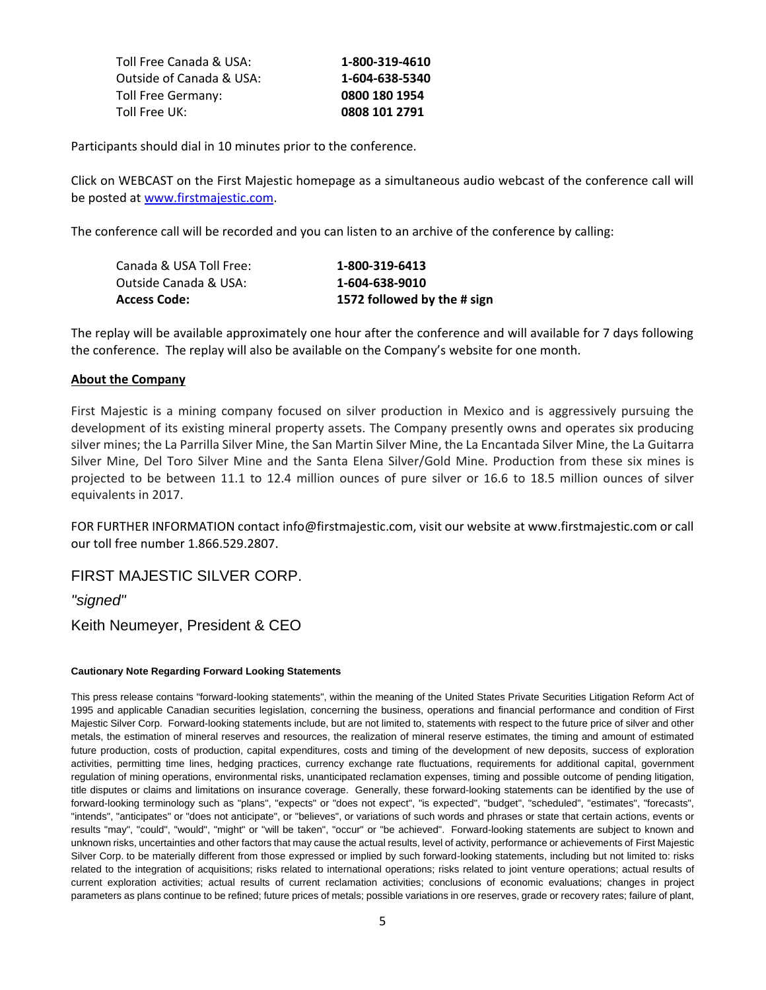| Toll Free Canada & USA:  | 1-800-319-4610 |
|--------------------------|----------------|
| Outside of Canada & USA: | 1-604-638-5340 |
| Toll Free Germany:       | 0800 180 1954  |
| Toll Free UK:            | 0808 101 2791  |

Participants should dial in 10 minutes prior to the conference.

Click on WEBCAST on the First Majestic homepage as a simultaneous audio webcast of the conference call will be posted at [www.firstmajestic.com.](http://www.firstmajestic.com/)

The conference call will be recorded and you can listen to an archive of the conference by calling:

| Access Code: .          | 1572 followed by the # sign |
|-------------------------|-----------------------------|
| Outside Canada & USA:   | 1-604-638-9010              |
| Canada & USA Toll Free: | 1-800-319-6413              |

The replay will be available approximately one hour after the conference and will available for 7 days following the conference. The replay will also be available on the Company's website for one month.

#### **About the Company**

First Majestic is a mining company focused on silver production in Mexico and is aggressively pursuing the development of its existing mineral property assets. The Company presently owns and operates six producing silver mines; the La Parrilla Silver Mine, the San Martin Silver Mine, the La Encantada Silver Mine, the La Guitarra Silver Mine, Del Toro Silver Mine and the Santa Elena Silver/Gold Mine. Production from these six mines is projected to be between 11.1 to 12.4 million ounces of pure silver or 16.6 to 18.5 million ounces of silver equivalents in 2017.

FOR FURTHER INFORMATION contact info@firstmajestic.com, visit our website at www.firstmajestic.com or call our toll free number 1.866.529.2807.

FIRST MAJESTIC SILVER CORP.

*"signed"*

Keith Neumeyer, President & CEO

#### **Cautionary Note Regarding Forward Looking Statements**

This press release contains "forward-looking statements", within the meaning of the United States Private Securities Litigation Reform Act of 1995 and applicable Canadian securities legislation, concerning the business, operations and financial performance and condition of First Majestic Silver Corp. Forward-looking statements include, but are not limited to, statements with respect to the future price of silver and other metals, the estimation of mineral reserves and resources, the realization of mineral reserve estimates, the timing and amount of estimated future production, costs of production, capital expenditures, costs and timing of the development of new deposits, success of exploration activities, permitting time lines, hedging practices, currency exchange rate fluctuations, requirements for additional capital, government regulation of mining operations, environmental risks, unanticipated reclamation expenses, timing and possible outcome of pending litigation, title disputes or claims and limitations on insurance coverage. Generally, these forward-looking statements can be identified by the use of forward-looking terminology such as "plans", "expects" or "does not expect", "is expected", "budget", "scheduled", "estimates", "forecasts", "intends", "anticipates" or "does not anticipate", or "believes", or variations of such words and phrases or state that certain actions, events or results "may", "could", "would", "might" or "will be taken", "occur" or "be achieved". Forward-looking statements are subject to known and unknown risks, uncertainties and other factors that may cause the actual results, level of activity, performance or achievements of First Majestic Silver Corp. to be materially different from those expressed or implied by such forward-looking statements, including but not limited to: risks related to the integration of acquisitions; risks related to international operations; risks related to joint venture operations; actual results of current exploration activities; actual results of current reclamation activities; conclusions of economic evaluations; changes in project parameters as plans continue to be refined; future prices of metals; possible variations in ore reserves, grade or recovery rates; failure of plant,